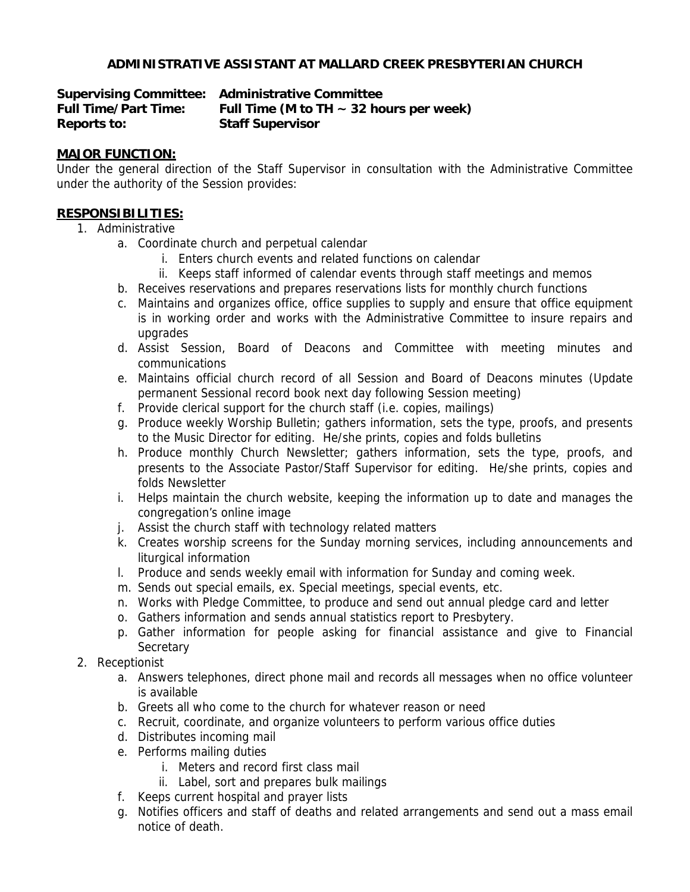# **ADMINISTRATIVE ASSISTANT AT MALLARD CREEK PRESBYTERIAN CHURCH**

|                             | Supervising Committee: Administrative Committee |
|-----------------------------|-------------------------------------------------|
| <b>Full Time/Part Time:</b> | Full Time (M to TH $\sim$ 32 hours per week)    |
| <b>Reports to:</b>          | <b>Staff Supervisor</b>                         |

#### **MAJOR FUNCTION:**

Under the general direction of the Staff Supervisor in consultation with the Administrative Committee under the authority of the Session provides:

### **RESPONSIBILITIES:**

- 1. Administrative
	- a. Coordinate church and perpetual calendar
		- i. Enters church events and related functions on calendar
		- ii. Keeps staff informed of calendar events through staff meetings and memos
	- b. Receives reservations and prepares reservations lists for monthly church functions
	- c. Maintains and organizes office, office supplies to supply and ensure that office equipment is in working order and works with the Administrative Committee to insure repairs and upgrades
	- d. Assist Session, Board of Deacons and Committee with meeting minutes and communications
	- e. Maintains official church record of all Session and Board of Deacons minutes (Update permanent Sessional record book next day following Session meeting)
	- f. Provide clerical support for the church staff (i.e. copies, mailings)
	- g. Produce weekly Worship Bulletin; gathers information, sets the type, proofs, and presents to the Music Director for editing. He/she prints, copies and folds bulletins
	- h. Produce monthly Church Newsletter; gathers information, sets the type, proofs, and presents to the Associate Pastor/Staff Supervisor for editing. He/she prints, copies and folds Newsletter
	- i. Helps maintain the church website, keeping the information up to date and manages the congregation's online image
	- j. Assist the church staff with technology related matters
	- k. Creates worship screens for the Sunday morning services, including announcements and liturgical information
	- l. Produce and sends weekly email with information for Sunday and coming week.
	- m. Sends out special emails, ex. Special meetings, special events, etc.
	- n. Works with Pledge Committee, to produce and send out annual pledge card and letter
	- o. Gathers information and sends annual statistics report to Presbytery.
	- p. Gather information for people asking for financial assistance and give to Financial **Secretary**
- 2. Receptionist
	- a. Answers telephones, direct phone mail and records all messages when no office volunteer is available
	- b. Greets all who come to the church for whatever reason or need
	- c. Recruit, coordinate, and organize volunteers to perform various office duties
	- d. Distributes incoming mail
	- e. Performs mailing duties
		- i. Meters and record first class mail
		- ii. Label, sort and prepares bulk mailings
	- f. Keeps current hospital and prayer lists
	- g. Notifies officers and staff of deaths and related arrangements and send out a mass email notice of death.